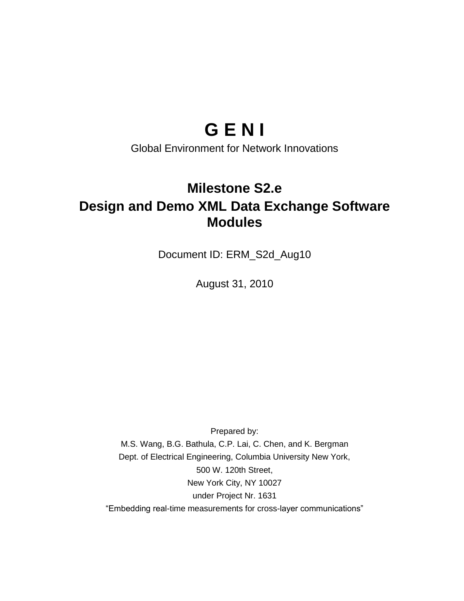# **G E N I**

Global Environment for Network Innovations

## **Milestone S2.e Design and Demo XML Data Exchange Software Modules**

Document ID: ERM\_S2d\_Aug10

August 31, 2010

Prepared by:

M.S. Wang, B.G. Bathula, C.P. Lai, C. Chen, and K. Bergman Dept. of Electrical Engineering, Columbia University New York, 500 W. 120th Street, New York City, NY 10027 under Project Nr. 1631 "Embedding real-time measurements for cross-layer communications"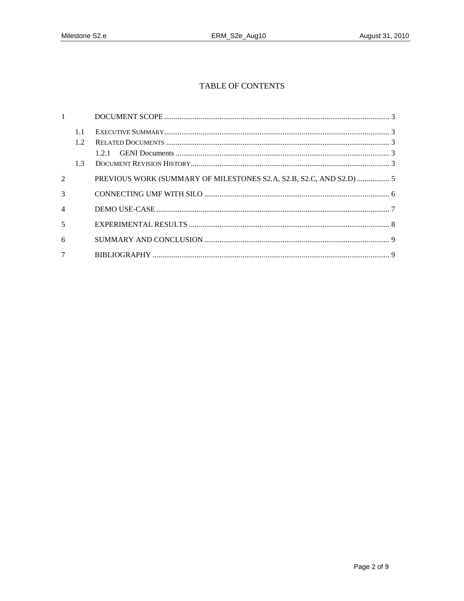### TABLE OF CONTENTS

| $1 -$                    |                  |                                                                     |  |
|--------------------------|------------------|---------------------------------------------------------------------|--|
|                          | 1.1<br>12<br>1.3 |                                                                     |  |
| 2                        |                  | PREVIOUS WORK (SUMMARY OF MILESTONES S2.A, S2.B, S2.C, AND S2.D)  5 |  |
| $\mathcal{R}$            |                  |                                                                     |  |
| $\overline{\mathcal{A}}$ |                  |                                                                     |  |
| 5                        |                  |                                                                     |  |
| 6                        |                  |                                                                     |  |
| $\tau$                   |                  |                                                                     |  |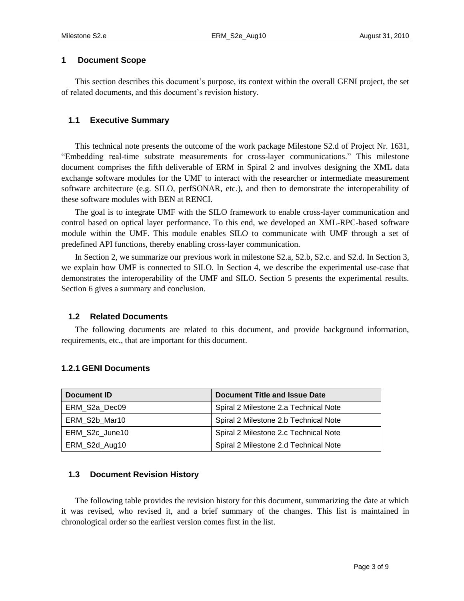#### **1 Document Scope**

This section describes this document's purpose, its context within the overall GENI project, the set of related documents, and this document's revision history.

#### **1.1 Executive Summary**

This technical note presents the outcome of the work package Milestone S2.d of Project Nr. 1631, "Embedding real-time substrate measurements for cross-layer communications." This milestone document comprises the fifth deliverable of ERM in Spiral 2 and involves designing the XML data exchange software modules for the UMF to interact with the researcher or intermediate measurement software architecture (e.g. SILO, perfSONAR, etc.), and then to demonstrate the interoperability of these software modules with BEN at RENCI.

The goal is to integrate UMF with the SILO framework to enable cross-layer communication and control based on optical layer performance. To this end, we developed an XML-RPC-based software module within the UMF. This module enables SILO to communicate with UMF through a set of predefined API functions, thereby enabling cross-layer communication.

In Section 2, we summarize our previous work in milestone S2.a, S2.b, S2.c. and S2.d. In Section 3, we explain how UMF is connected to SILO. In Section 4, we describe the experimental use-case that demonstrates the interoperability of the UMF and SILO. Section 5 presents the experimental results. Section 6 gives a summary and conclusion.

#### **1.2 Related Documents**

The following documents are related to this document, and provide background information, requirements, etc., that are important for this document.

| Document ID    | Document Title and Issue Date         |
|----------------|---------------------------------------|
| ERM S2a Dec09  | Spiral 2 Milestone 2.a Technical Note |
| ERM S2b Mar10  | Spiral 2 Milestone 2.b Technical Note |
| ERM S2c June10 | Spiral 2 Milestone 2.c Technical Note |
| ERM_S2d_Aug10  | Spiral 2 Milestone 2.d Technical Note |

#### **1.2.1 GENI Documents**

#### **1.3 Document Revision History**

The following table provides the revision history for this document, summarizing the date at which it was revised, who revised it, and a brief summary of the changes. This list is maintained in chronological order so the earliest version comes first in the list.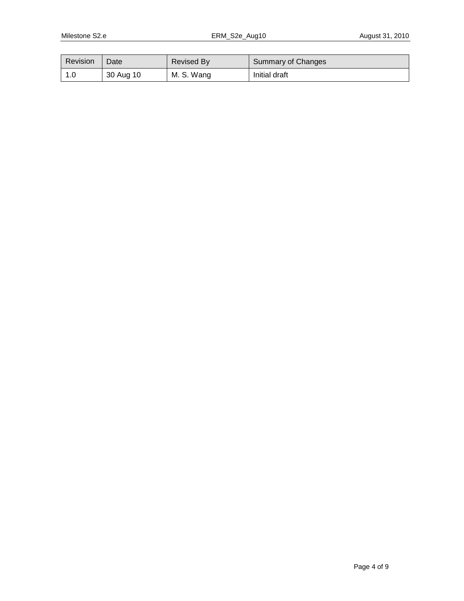| Revision | Date      | <b>Revised By</b> | Summary of Changes |
|----------|-----------|-------------------|--------------------|
| 1.0      | 30 Aug 10 | M. S. Wang        | Initial draft      |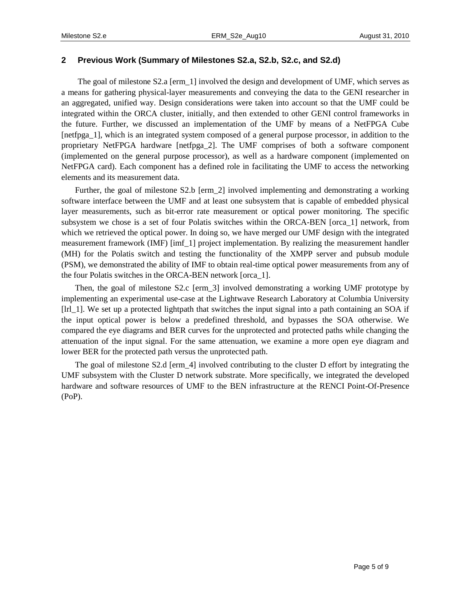#### **2 Previous Work (Summary of Milestones S2.a, S2.b, S2.c, and S2.d)**

The goal of milestone S2.a [erm\_1] involved the design and development of UMF, which serves as a means for gathering physical-layer measurements and conveying the data to the GENI researcher in an aggregated, unified way. Design considerations were taken into account so that the UMF could be integrated within the ORCA cluster, initially, and then extended to other GENI control frameworks in the future. Further, we discussed an implementation of the UMF by means of a NetFPGA Cube [netfpga\_1], which is an integrated system composed of a general purpose processor, in addition to the proprietary NetFPGA hardware [netfpga\_2]. The UMF comprises of both a software component (implemented on the general purpose processor), as well as a hardware component (implemented on NetFPGA card). Each component has a defined role in facilitating the UMF to access the networking elements and its measurement data.

Further, the goal of milestone S2.b [erm 2] involved implementing and demonstrating a working software interface between the UMF and at least one subsystem that is capable of embedded physical layer measurements, such as bit-error rate measurement or optical power monitoring. The specific subsystem we chose is a set of four Polatis switches within the ORCA-BEN [orca\_1] network, from which we retrieved the optical power. In doing so, we have merged our UMF design with the integrated measurement framework (IMF) [imf\_1] project implementation. By realizing the measurement handler (MH) for the Polatis switch and testing the functionality of the XMPP server and pubsub module (PSM), we demonstrated the ability of IMF to obtain real-time optical power measurements from any of the four Polatis switches in the ORCA-BEN network [orca\_1].

Then, the goal of milestone S2.c [erm\_3] involved demonstrating a working UMF prototype by implementing an experimental use-case at the Lightwave Research Laboratory at Columbia University [lrl\_1]. We set up a protected lightpath that switches the input signal into a path containing an SOA if the input optical power is below a predefined threshold, and bypasses the SOA otherwise. We compared the eye diagrams and BER curves for the unprotected and protected paths while changing the attenuation of the input signal. For the same attenuation, we examine a more open eye diagram and lower BER for the protected path versus the unprotected path.

The goal of milestone S2.d [erm\_4] involved contributing to the cluster D effort by integrating the UMF subsystem with the Cluster D network substrate. More specifically, we integrated the developed hardware and software resources of UMF to the BEN infrastructure at the RENCI Point-Of-Presence (PoP).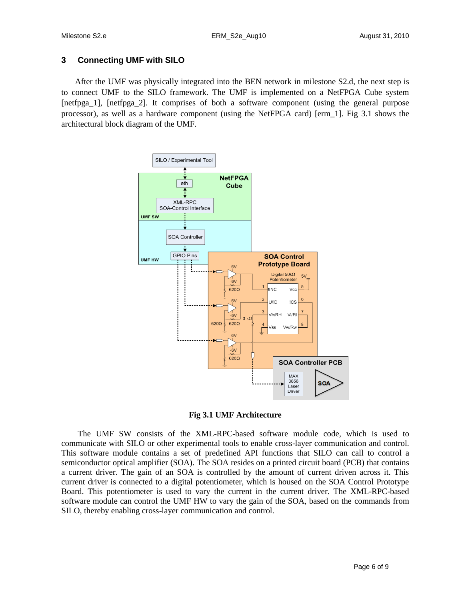#### **3 Connecting UMF with SILO**

After the UMF was physically integrated into the BEN network in milestone S2.d, the next step is to connect UMF to the SILO framework. The UMF is implemented on a NetFPGA Cube system [netfpga\_1], [netfpga\_2]. It comprises of both a software component (using the general purpose processor), as well as a hardware component (using the NetFPGA card) [erm\_1]. Fig 3.1 shows the architectural block diagram of the UMF.



**Fig 3.1 UMF Architecture**

The UMF SW consists of the XML-RPC-based software module code, which is used to communicate with SILO or other experimental tools to enable cross-layer communication and control. This software module contains a set of predefined API functions that SILO can call to control a semiconductor optical amplifier (SOA). The SOA resides on a printed circuit board (PCB) that contains a current driver. The gain of an SOA is controlled by the amount of current driven across it. This current driver is connected to a digital potentiometer, which is housed on the SOA Control Prototype Board. This potentiometer is used to vary the current in the current driver. The XML-RPC-based software module can control the UMF HW to vary the gain of the SOA, based on the commands from SILO, thereby enabling cross-layer communication and control.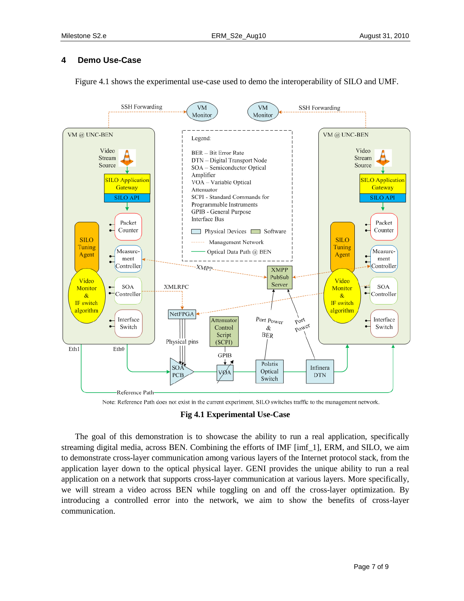#### **4 Demo Use-Case**

Figure 4.1 shows the experimental use-case used to demo the interoperability of SILO and UMF.



Note: Reference Path does not exist in the current experiment, SILO switches traffic to the management network.

#### **Fig 4.1 Experimental Use-Case**

The goal of this demonstration is to showcase the ability to run a real application, specifically streaming digital media, across BEN. Combining the efforts of IMF [imf\_1], ERM, and SILO, we aim to demonstrate cross-layer communication among various layers of the Internet protocol stack, from the application layer down to the optical physical layer. GENI provides the unique ability to run a real application on a network that supports cross-layer communication at various layers. More specifically, we will stream a video across BEN while toggling on and off the cross-layer optimization. By introducing a controlled error into the network, we aim to show the benefits of cross-layer communication.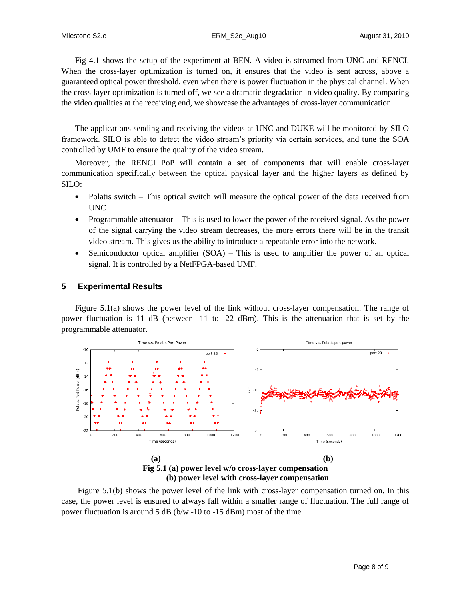Fig 4.1 shows the setup of the experiment at BEN. A video is streamed from UNC and RENCI. When the cross-layer optimization is turned on, it ensures that the video is sent across, above a guaranteed optical power threshold, even when there is power fluctuation in the physical channel. When the cross-layer optimization is turned off, we see a dramatic degradation in video quality. By comparing the video qualities at the receiving end, we showcase the advantages of cross-layer communication.

The applications sending and receiving the videos at UNC and DUKE will be monitored by SILO framework. SILO is able to detect the video stream's priority via certain services, and tune the SOA controlled by UMF to ensure the quality of the video stream.

Moreover, the RENCI PoP will contain a set of components that will enable cross-layer communication specifically between the optical physical layer and the higher layers as defined by SILO:

- Polatis switch This optical switch will measure the optical power of the data received from UNC
- Programmable attenuator This is used to lower the power of the received signal. As the power of the signal carrying the video stream decreases, the more errors there will be in the transit video stream. This gives us the ability to introduce a repeatable error into the network.
- $\bullet$  Semiconductor optical amplifier (SOA) This is used to amplifier the power of an optical signal. It is controlled by a NetFPGA-based UMF.

#### **5 Experimental Results**

Figure 5.1(a) shows the power level of the link without cross-layer compensation. The range of power fluctuation is 11 dB (between -11 to -22 dBm). This is the attenuation that is set by the programmable attenuator.



Figure 5.1(b) shows the power level of the link with cross-layer compensation turned on. In this case, the power level is ensured to always fall within a smaller range of fluctuation. The full range of power fluctuation is around 5 dB (b/w -10 to -15 dBm) most of the time.